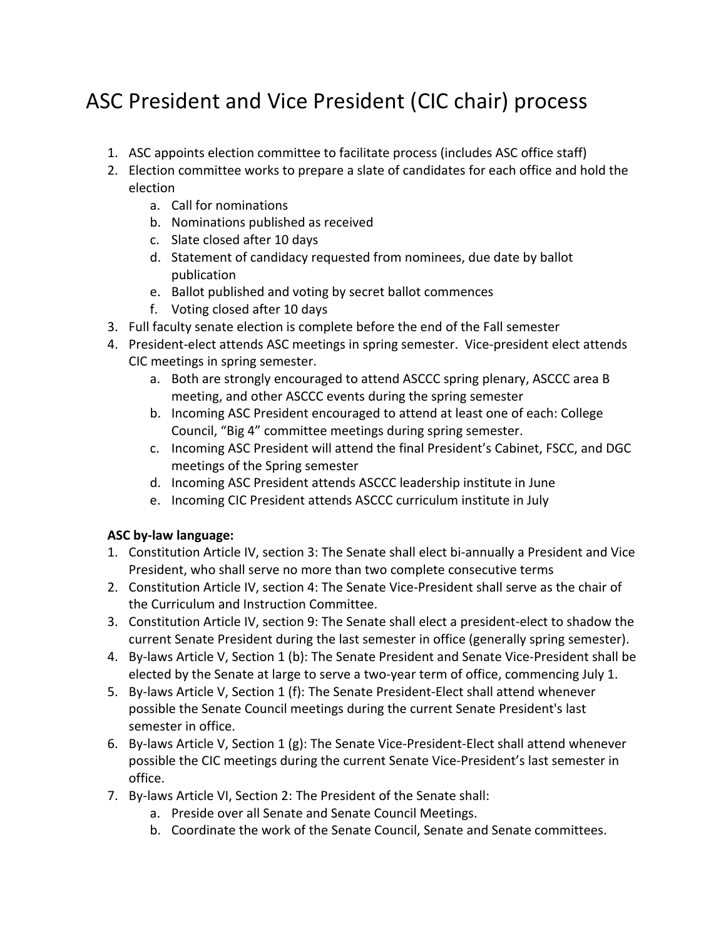## ASC President and Vice President (CIC chair) process

- 1. ASC appoints election committee to facilitate process (includes ASC office staff)
- 2. Election committee works to prepare a slate of candidates for each office and hold the election
	- a. Call for nominations
	- b. Nominations published as received
	- c. Slate closed after 10 days
	- d. Statement of candidacy requested from nominees, due date by ballot publication
	- e. Ballot published and voting by secret ballot commences
	- f. Voting closed after 10 days
- 3. Full faculty senate election is complete before the end of the Fall semester
- 4. President-elect attends ASC meetings in spring semester. Vice-president elect attends CIC meetings in spring semester.
	- a. Both are strongly encouraged to attend ASCCC spring plenary, ASCCC area B meeting, and other ASCCC events during the spring semester
	- b. Incoming ASC President encouraged to attend at least one of each: College Council, "Big 4" committee meetings during spring semester.
	- c. Incoming ASC President will attend the final President's Cabinet, FSCC, and DGC meetings of the Spring semester
	- d. Incoming ASC President attends ASCCC leadership institute in June
	- e. Incoming CIC President attends ASCCC curriculum institute in July

## **ASC by-law language:**

- 1. Constitution Article IV, section 3: The Senate shall elect bi-annually a President and Vice President, who shall serve no more than two complete consecutive terms
- 2. Constitution Article IV, section 4: The Senate Vice-President shall serve as the chair of the Curriculum and Instruction Committee.
- 3. Constitution Article IV, section 9: The Senate shall elect a president-elect to shadow the current Senate President during the last semester in office (generally spring semester).
- 4. By-laws Article V, Section 1 (b): The Senate President and Senate Vice-President shall be elected by the Senate at large to serve a two-year term of office, commencing July 1.
- 5. By-laws Article V, Section 1 (f): The Senate President-Elect shall attend whenever possible the Senate Council meetings during the current Senate President's last semester in office.
- 6. By-laws Article V, Section 1 (g): The Senate Vice-President-Elect shall attend whenever possible the CIC meetings during the current Senate Vice-President's last semester in office.
- 7. By-laws Article VI, Section 2: The President of the Senate shall:
	- a. Preside over all Senate and Senate Council Meetings.
	- b. Coordinate the work of the Senate Council, Senate and Senate committees.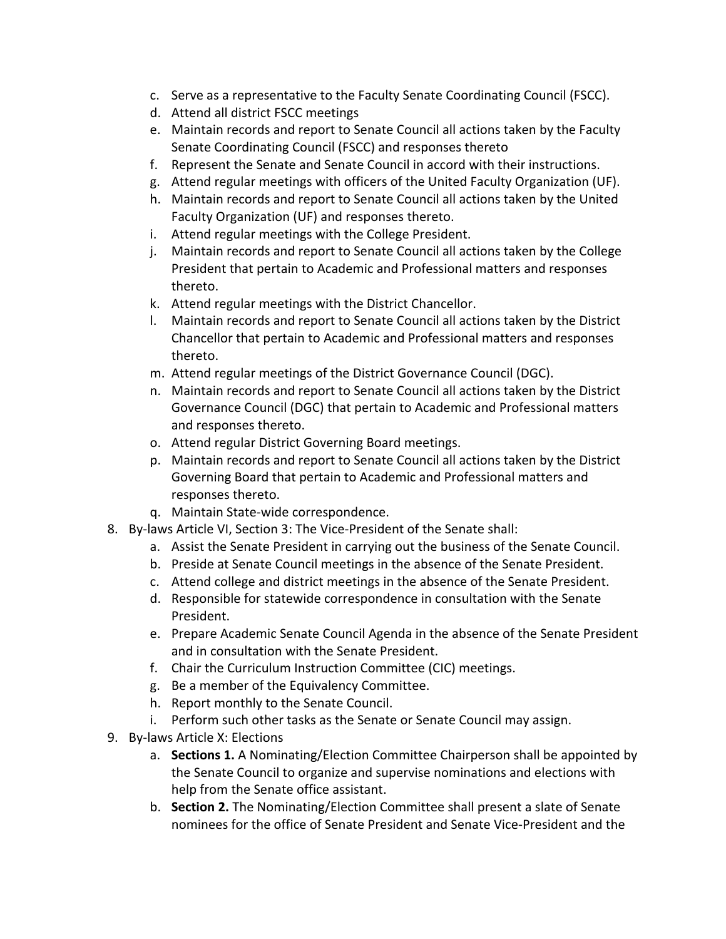- c. Serve as a representative to the Faculty Senate Coordinating Council (FSCC).
- d. Attend all district FSCC meetings
- e. Maintain records and report to Senate Council all actions taken by the Faculty Senate Coordinating Council (FSCC) and responses thereto
- f. Represent the Senate and Senate Council in accord with their instructions.
- g. Attend regular meetings with officers of the United Faculty Organization (UF).
- h. Maintain records and report to Senate Council all actions taken by the United Faculty Organization (UF) and responses thereto.
- i. Attend regular meetings with the College President.
- j. Maintain records and report to Senate Council all actions taken by the College President that pertain to Academic and Professional matters and responses thereto.
- k. Attend regular meetings with the District Chancellor.
- l. Maintain records and report to Senate Council all actions taken by the District Chancellor that pertain to Academic and Professional matters and responses thereto.
- m. Attend regular meetings of the District Governance Council (DGC).
- n. Maintain records and report to Senate Council all actions taken by the District Governance Council (DGC) that pertain to Academic and Professional matters and responses thereto.
- o. Attend regular District Governing Board meetings.
- p. Maintain records and report to Senate Council all actions taken by the District Governing Board that pertain to Academic and Professional matters and responses thereto.
- q. Maintain State-wide correspondence.
- 8. By-laws Article VI, Section 3: The Vice-President of the Senate shall:
	- a. Assist the Senate President in carrying out the business of the Senate Council.
	- b. Preside at Senate Council meetings in the absence of the Senate President.
	- c. Attend college and district meetings in the absence of the Senate President.
	- d. Responsible for statewide correspondence in consultation with the Senate President.
	- e. Prepare Academic Senate Council Agenda in the absence of the Senate President and in consultation with the Senate President.
	- f. Chair the Curriculum Instruction Committee (CIC) meetings.
	- g. Be a member of the Equivalency Committee.
	- h. Report monthly to the Senate Council.
	- i. Perform such other tasks as the Senate or Senate Council may assign.
- 9. By-laws Article X: Elections
	- a. **Sections 1.** A Nominating/Election Committee Chairperson shall be appointed by the Senate Council to organize and supervise nominations and elections with help from the Senate office assistant.
	- b. **Section 2.** The Nominating/Election Committee shall present a slate of Senate nominees for the office of Senate President and Senate Vice-President and the